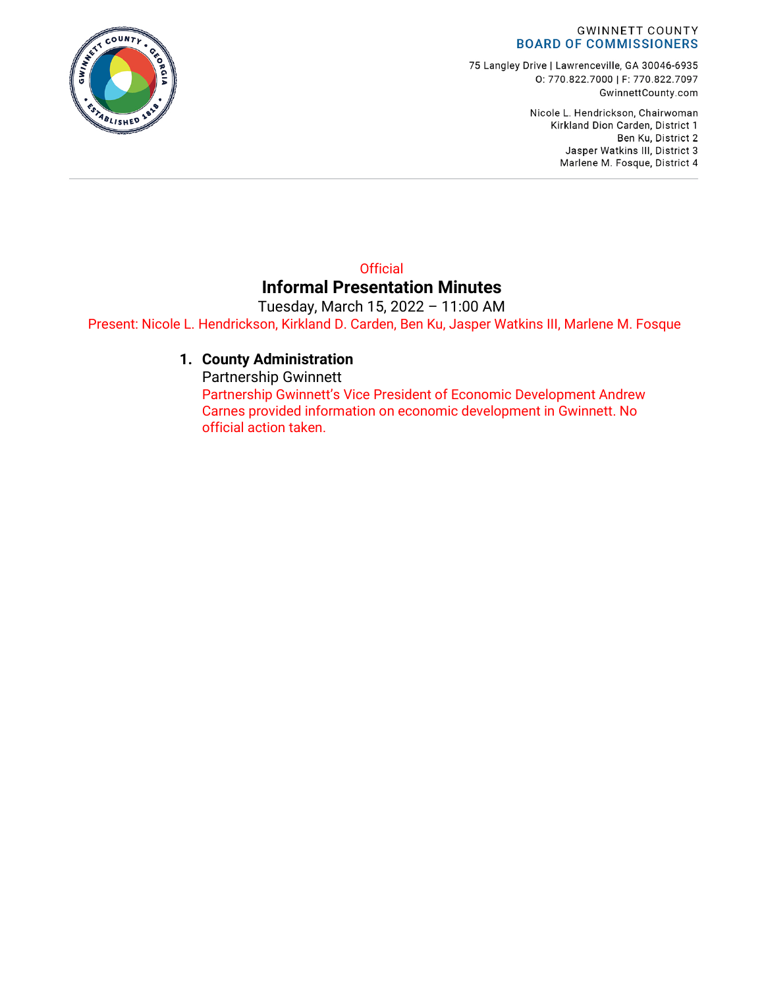#### **GWINNETT COUNTY BOARD OF COMMISSIONERS**

75 Langley Drive | Lawrenceville, GA 30046-6935 0: 770.822.7000 | F: 770.822.7097 GwinnettCounty.com

> Nicole L. Hendrickson, Chairwoman Kirkland Dion Carden, District 1 Ben Ku, District 2 Jasper Watkins III, District 3 Marlene M. Fosque, District 4

#### **Official Informal Presentation Minutes**

Tuesday, March 15, 2022 – 11:00 AM Present: Nicole L. Hendrickson, Kirkland D. Carden, Ben Ku, Jasper Watkins III, Marlene M. Fosque

#### **1. County Administration**

Partnership Gwinnett Partnership Gwinnett's Vice President of Economic Development Andrew Carnes provided information on economic development in Gwinnett. No official action taken.

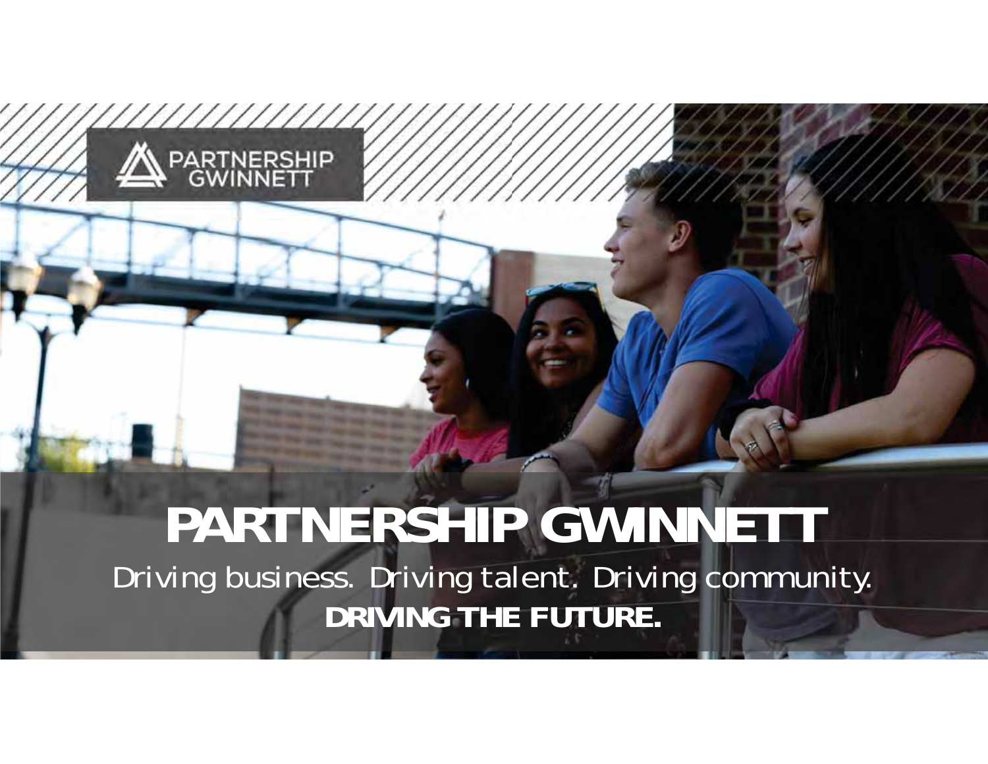

ARTNERSHIP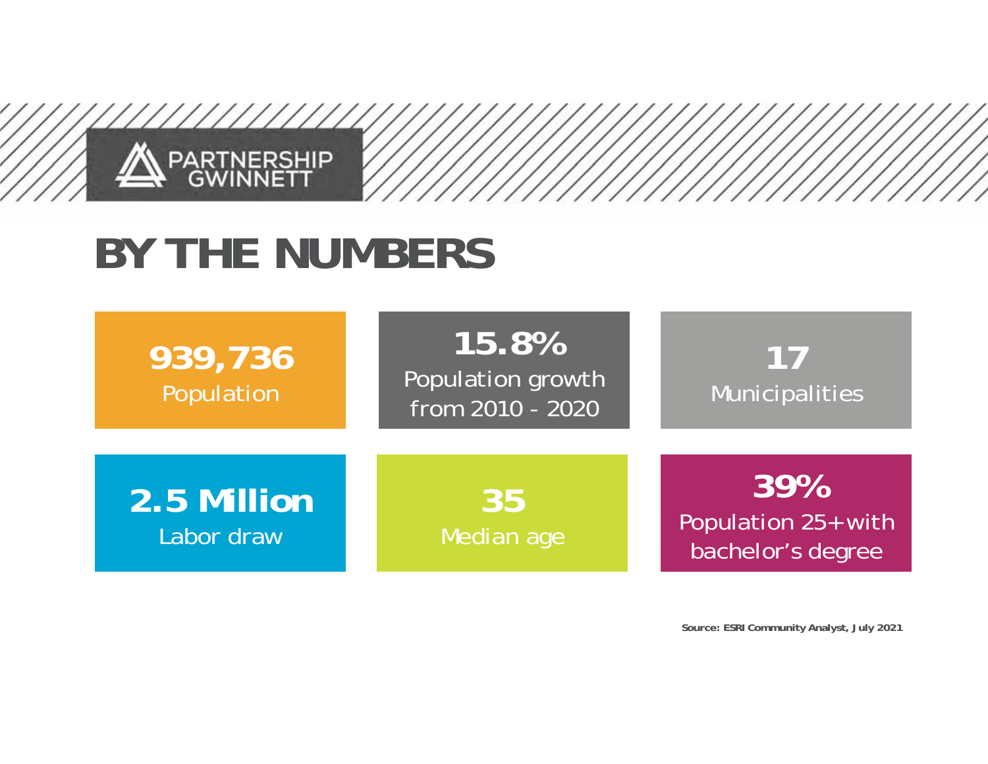

#### **BY THE NUMBERS**



**Source: ESRI Community Analyst, July 2021**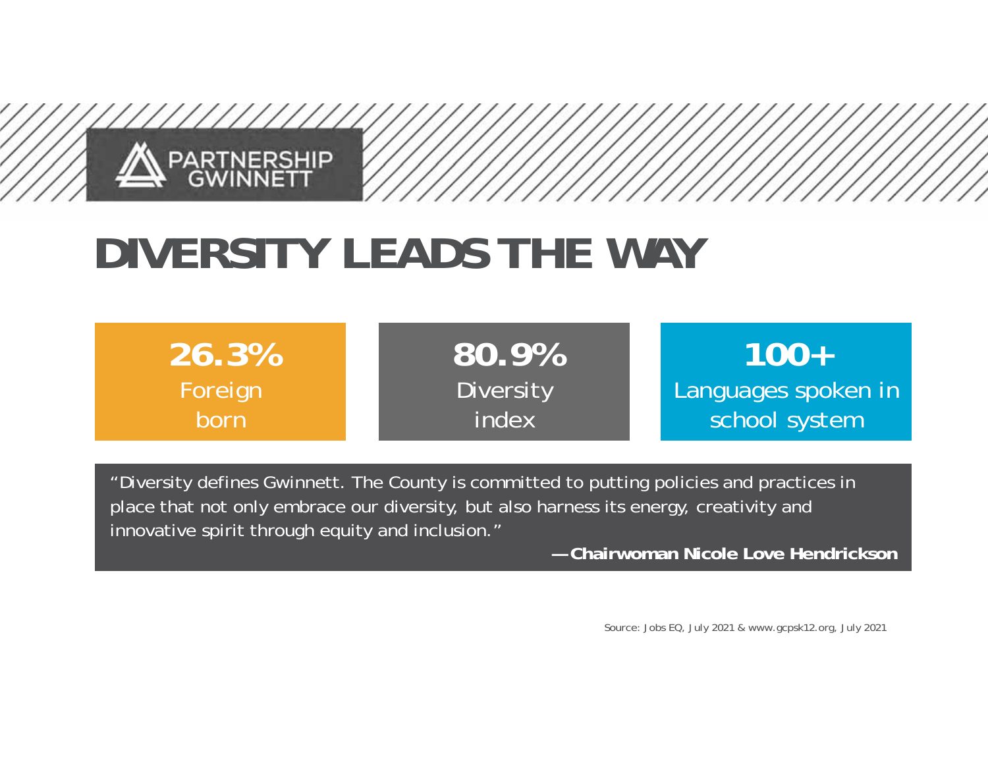

## **DIVERSITY LEADS THE WAY**



"Diversity defines Gwinnett. The County is committed to putting policies and practices in place that not only embrace our diversity, but also harness its energy, creativity and innovative spirit through equity and inclusion."

**— Chairwoman Nicole Love Hendrickson**

Source: Jobs EQ, July 2021 & www.gcpsk12.org, July 2021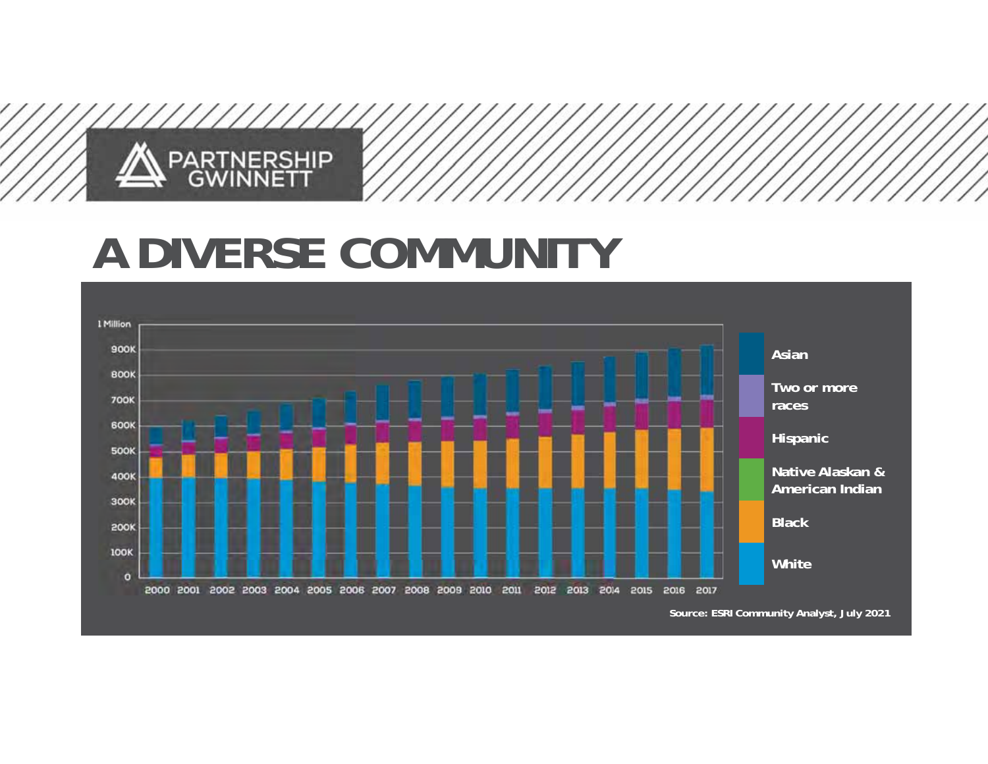#### **A DIVERSE COMMUNITY**

 $111111111$ 

PARTNERSHIP<br>GWINNETT

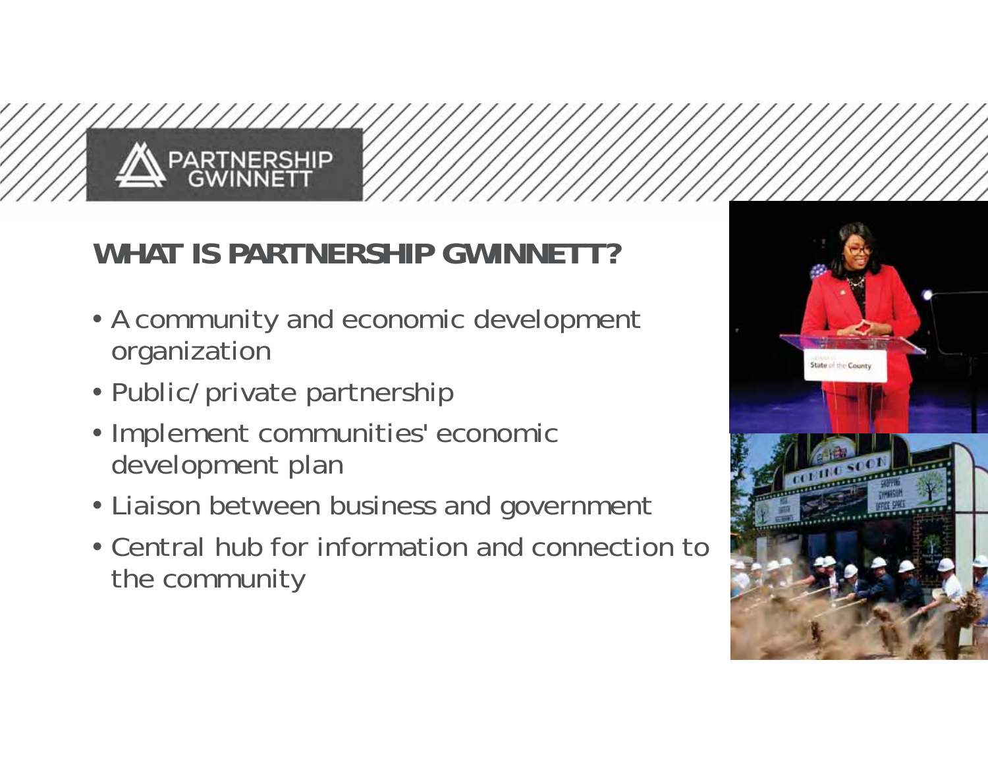

#### **WHAT IS PARTNERSHIP GWINNETT?**

- A community and economic development organization
- Public/private partnership
- Implement communities' economic development plan
- Liaison between business and government
- Central hub for information and connection to the community

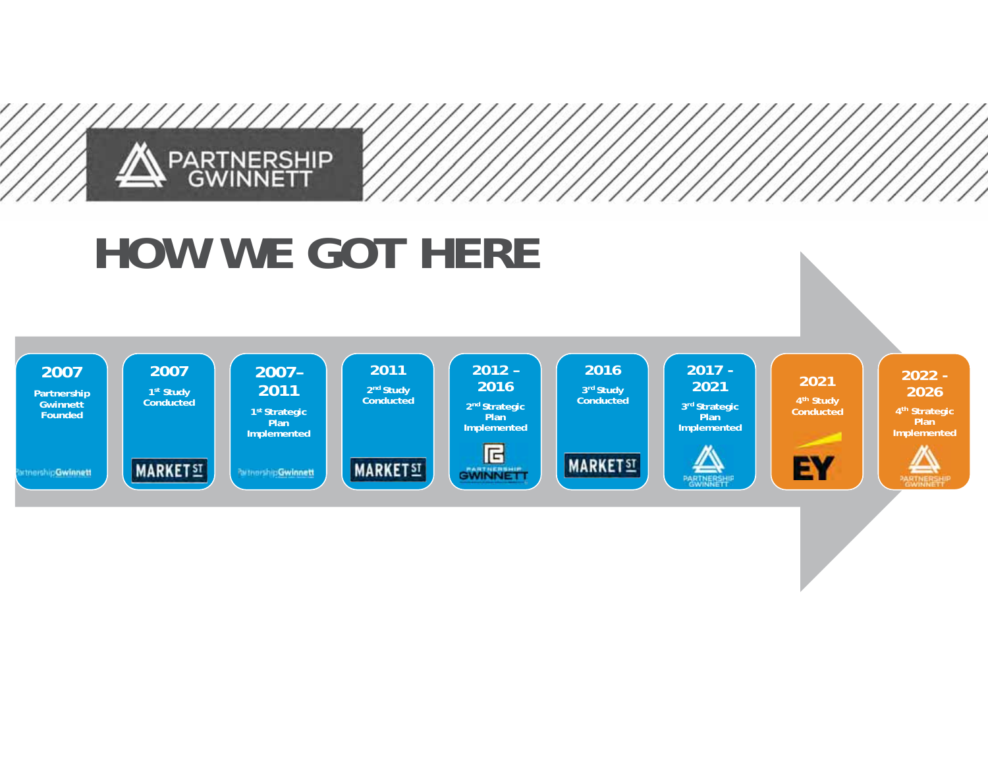

#### **HOW WE GOT HERE**

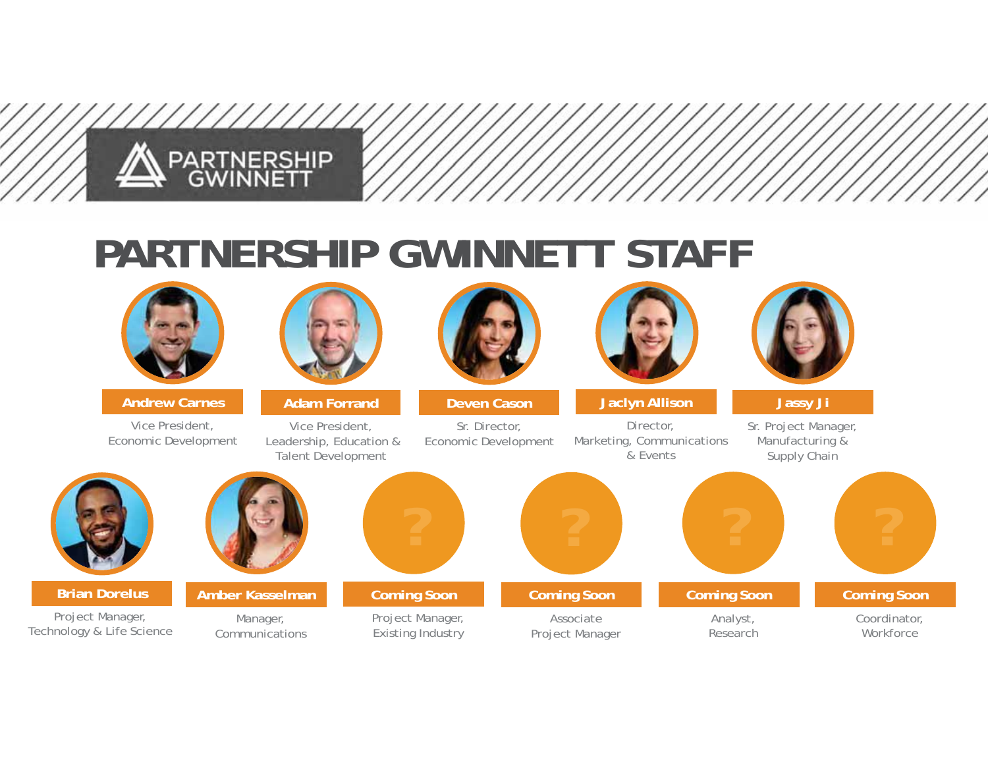

#### **PARTNERSHIP GWINNETT STAFF**



**Andrew Carnes**

Vice President, Economic Development



**Adam Forrand**





**Jaclyn Allison**





**Brian Dorelus**

Project Manager, Technology & Life Science

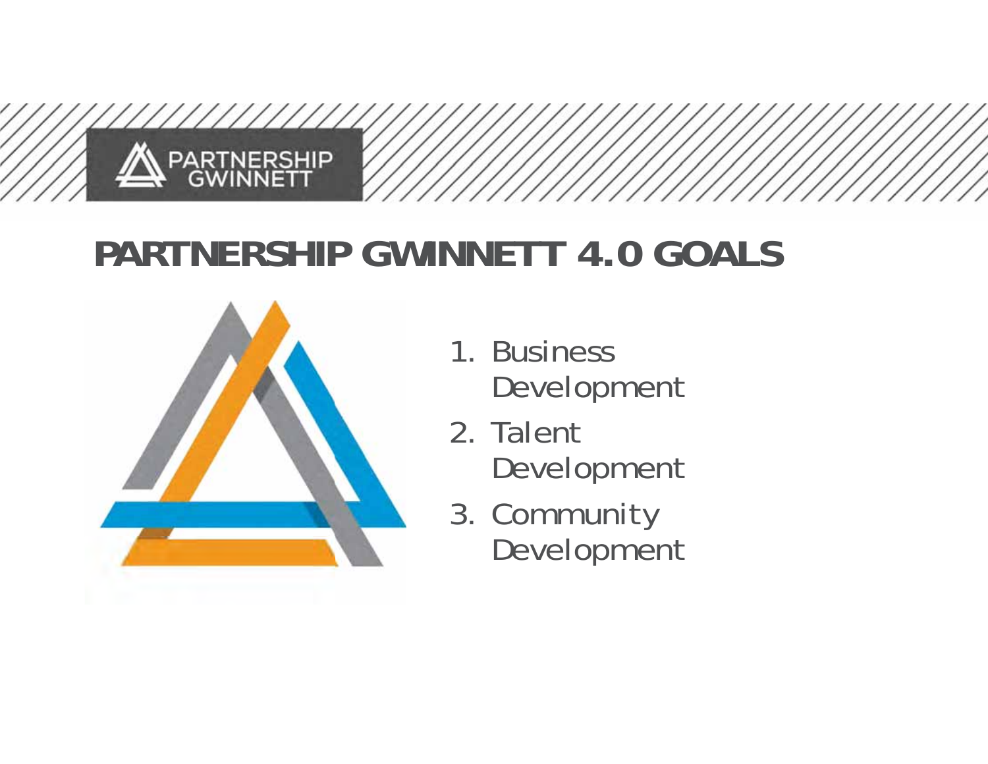

#### **PARTNERSHIP GWINNETT 4.0 GOALS**



- 1. BusinessDevelopment
- 2. Talent Development
- 3. Community Development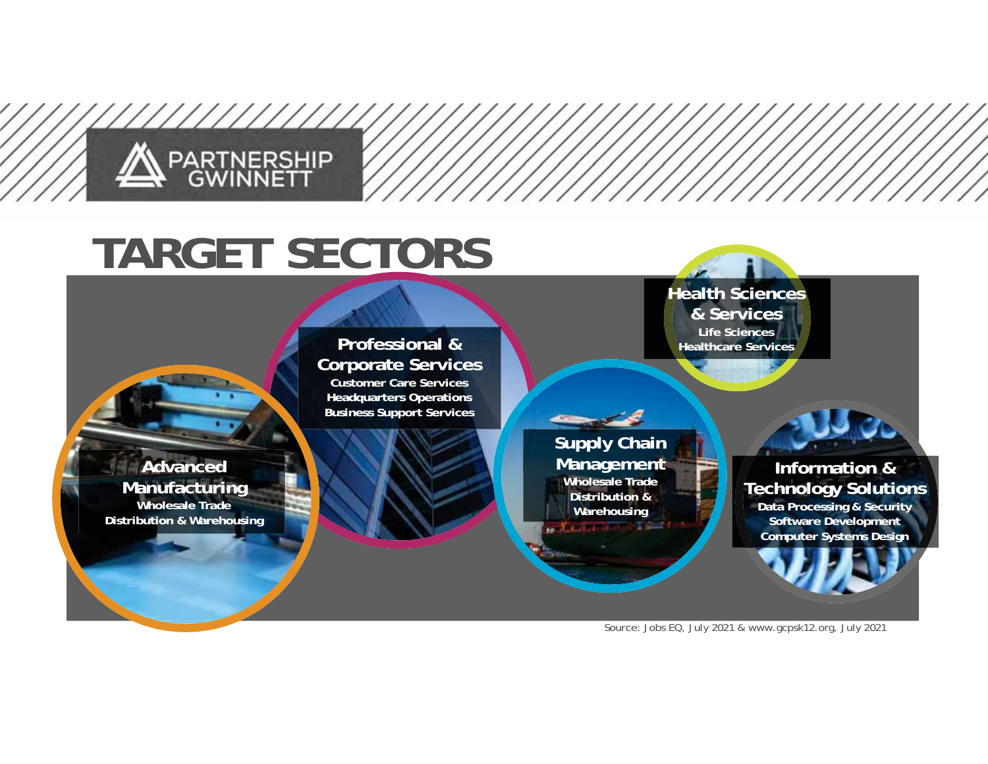

### **TARGET SECTORS**

**Professional & Corporate Services Customer Care Services Headquarters Operations Business Support Services**

**Advanced Manufacturing Wholesale TradeDistribution & Warehousing**

**Supply Chain Management Wholesale Trade Distribution & Warehousing Part Constitution** 

**Health Sciences & Services Life Sciences Healthcare Services**

> **Information & Technology Solutions Data Processing & Security Software Development Computer Systems Design**

Source: Jobs EQ, July 2021 & www.gcpsk12.org, July 2021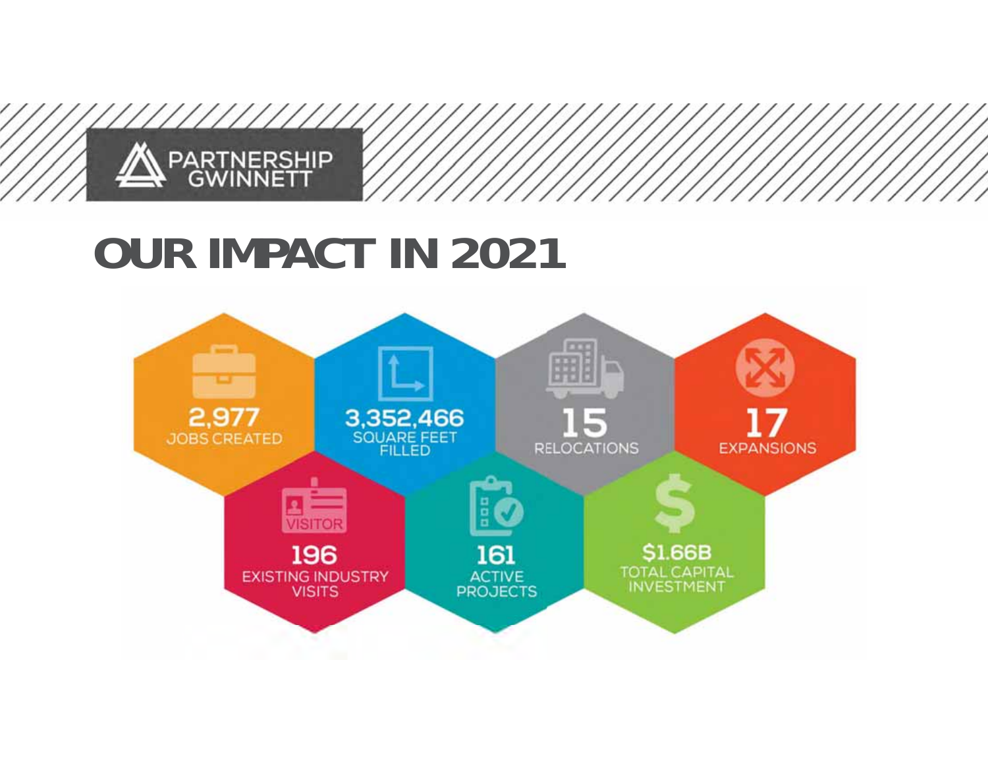

#### **OUR IMPACT IN 2021**

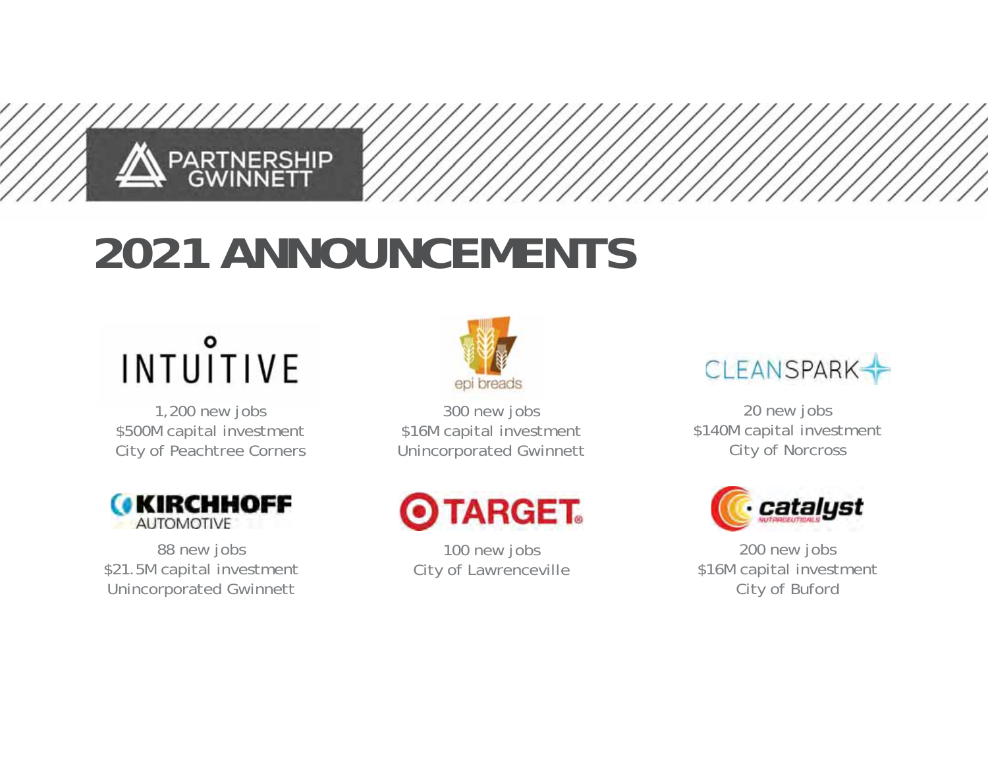

## **2021 ANNOUNCEMENTS**

# INTUITIVE

1,200 new jobs \$500M capital investment City of Peachtree Corners



88 new jobs \$21.5M capital investment Unincorporated Gwinnett



300 new jobs \$16M capital investment Unincorporated Gwinnett



100 new jobs City of Lawrenceville



20 new jobs \$140M capital investment City of Norcross



200 new jobs \$16M capital investment City of Buford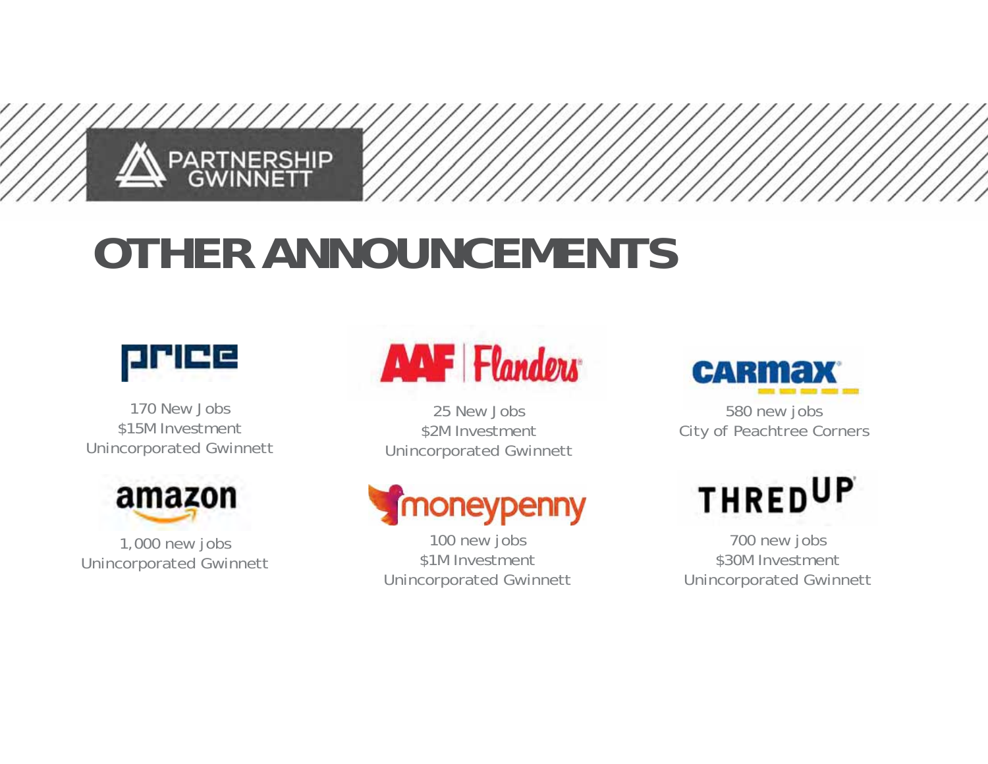

## **OTHER ANNOUNCEMENTS**



170 New Jobs\$15M Investment Unincorporated Gwinnett



1,000 new jobs Unincorporated Gwinnett



25 New Jobs\$2M Investment Unincorporated Gwinnett



100 new jobs \$1M Investment Unincorporated Gwinnett



580 new jobs 580 new City of Peachtree Corners



700 new jobs \$30M Investment Unincorporated Gwinnett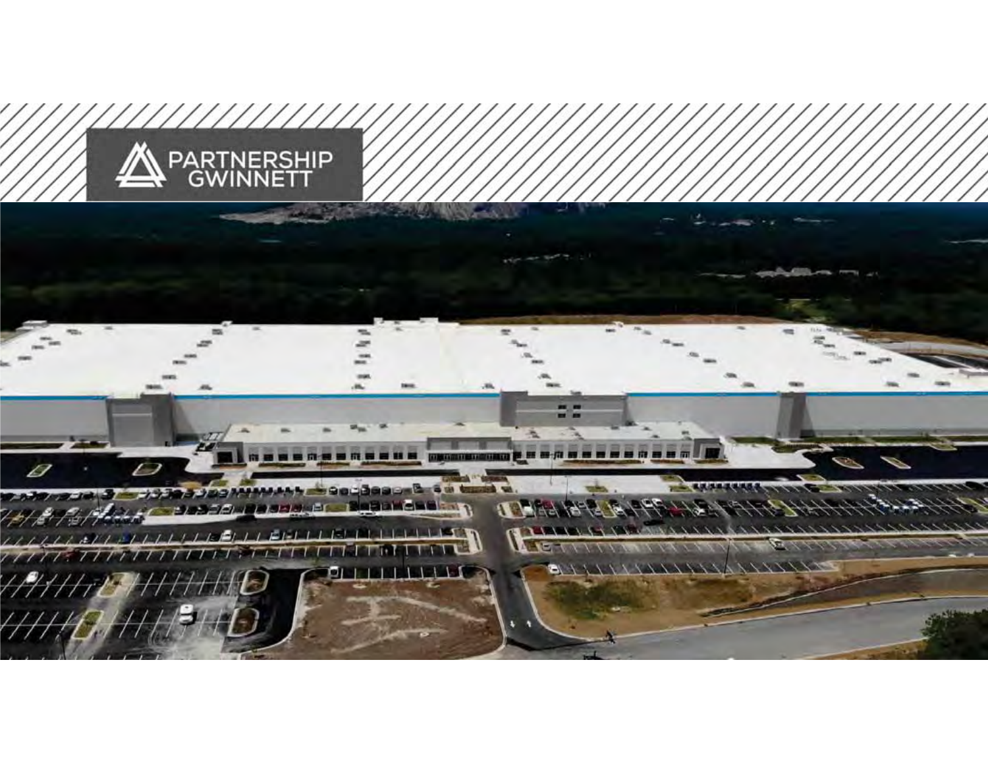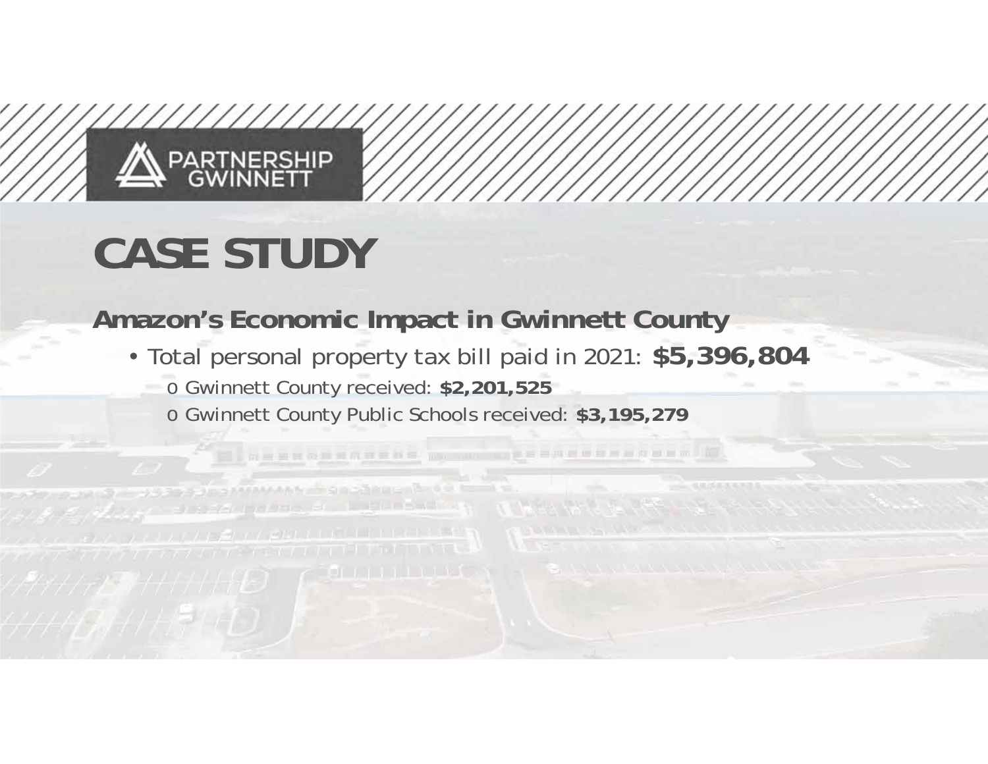

## **CASE STUDY**

#### **Amazon's Economic Impact in Gwinnett County**

- Total personal property tax bill paid in 2021: **\$5,396,804**  o Gwinnett County received: **\$2,201,525**
	- o Gwinnett County Public Schools received: **\$3,195,279**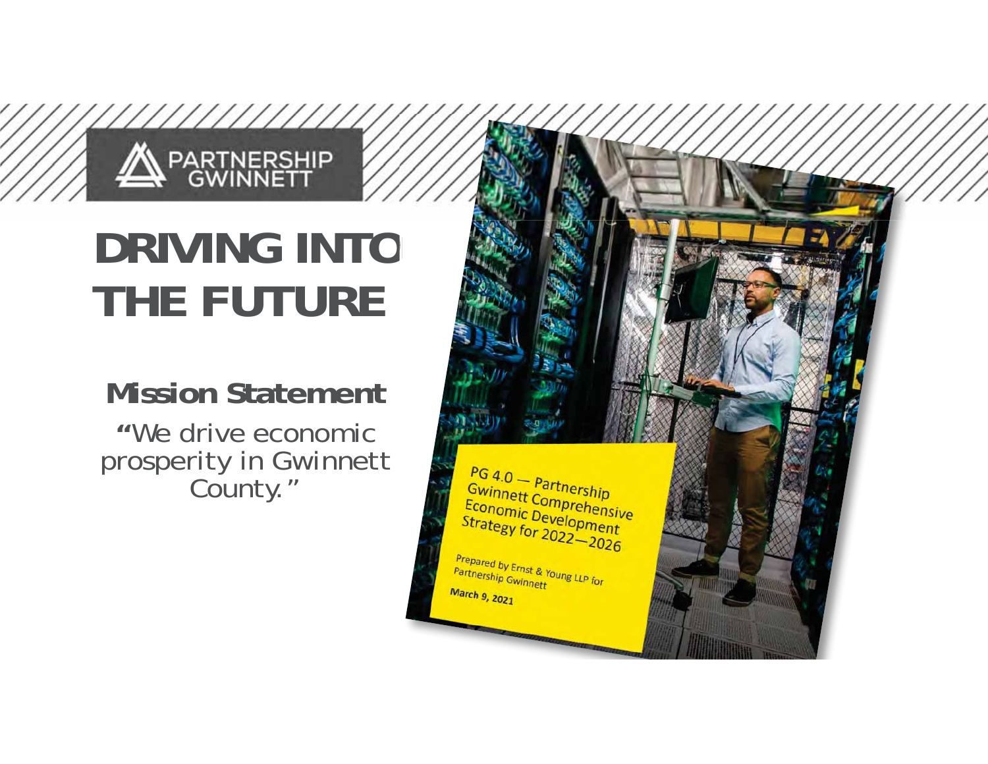

## **DRIVING INTO THE FUTURE**

#### **Mission Statement**

**"**We drive economic prosperity in Gwinnett County."